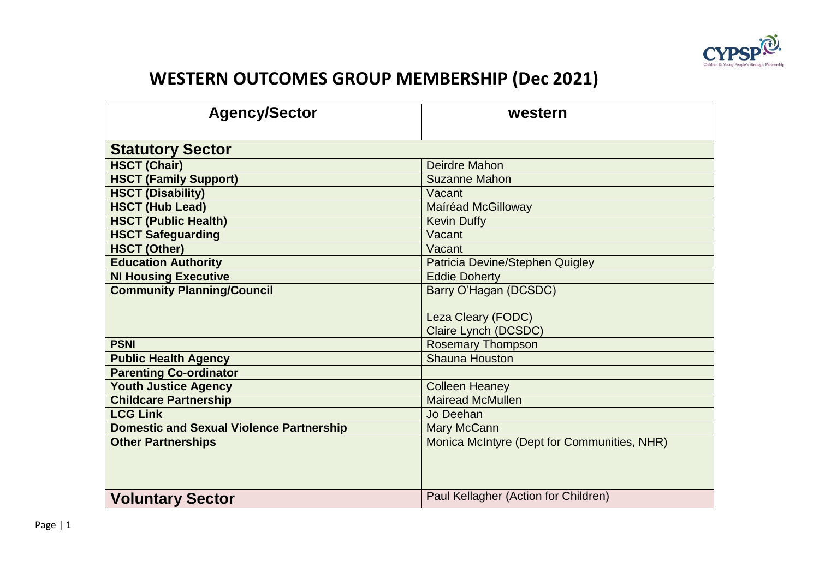

## **WESTERN OUTCOMES GROUP MEMBERSHIP (Dec 2021)**

| <b>Agency/Sector</b>                            | western                                     |  |
|-------------------------------------------------|---------------------------------------------|--|
| <b>Statutory Sector</b>                         |                                             |  |
| <b>HSCT (Chair)</b>                             | <b>Deirdre Mahon</b>                        |  |
| <b>HSCT (Family Support)</b>                    | <b>Suzanne Mahon</b>                        |  |
| <b>HSCT (Disability)</b>                        | Vacant                                      |  |
| <b>HSCT (Hub Lead)</b>                          | <b>Maíréad McGilloway</b>                   |  |
| <b>HSCT (Public Health)</b>                     | <b>Kevin Duffy</b>                          |  |
| <b>HSCT Safeguarding</b>                        | Vacant                                      |  |
| <b>HSCT (Other)</b>                             | Vacant                                      |  |
| <b>Education Authority</b>                      | Patricia Devine/Stephen Quigley             |  |
| <b>NI Housing Executive</b>                     | <b>Eddie Doherty</b>                        |  |
| <b>Community Planning/Council</b>               | Barry O'Hagan (DCSDC)                       |  |
|                                                 |                                             |  |
|                                                 | Leza Cleary (FODC)                          |  |
|                                                 | Claire Lynch (DCSDC)                        |  |
| <b>PSNI</b>                                     | <b>Rosemary Thompson</b>                    |  |
| <b>Public Health Agency</b>                     | <b>Shauna Houston</b>                       |  |
| <b>Parenting Co-ordinator</b>                   |                                             |  |
| <b>Youth Justice Agency</b>                     | <b>Colleen Heaney</b>                       |  |
| <b>Childcare Partnership</b>                    | <b>Mairead McMullen</b>                     |  |
| <b>LCG Link</b>                                 | Jo Deehan                                   |  |
| <b>Domestic and Sexual Violence Partnership</b> | Mary McCann                                 |  |
| <b>Other Partnerships</b>                       | Monica McIntyre (Dept for Communities, NHR) |  |
|                                                 |                                             |  |
|                                                 |                                             |  |
| <b>Voluntary Sector</b>                         | Paul Kellagher (Action for Children)        |  |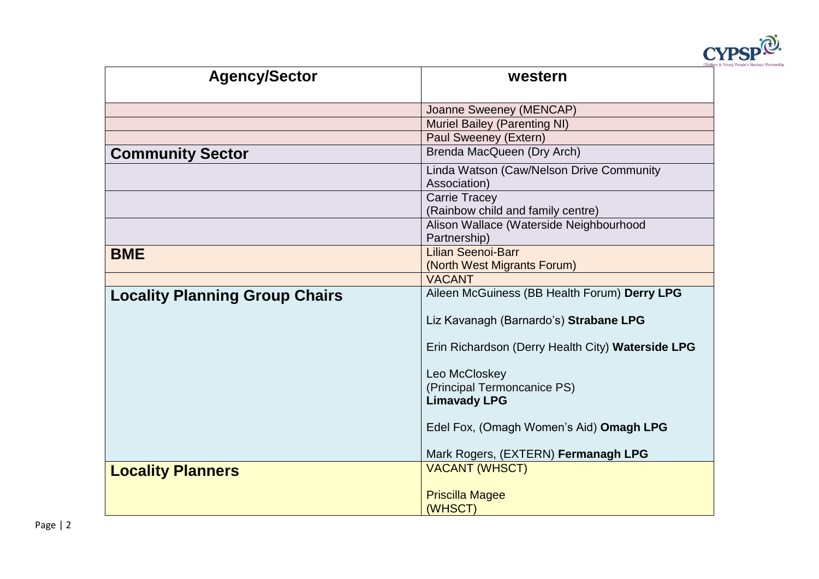

| <b>Agency/Sector</b>                  | western                                                   |
|---------------------------------------|-----------------------------------------------------------|
|                                       | Joanne Sweeney (MENCAP)                                   |
|                                       | <b>Muriel Bailey (Parenting NI)</b>                       |
|                                       | Paul Sweeney (Extern)                                     |
| <b>Community Sector</b>               | Brenda MacQueen (Dry Arch)                                |
|                                       | Linda Watson (Caw/Nelson Drive Community<br>Association)  |
|                                       | <b>Carrie Tracey</b><br>(Rainbow child and family centre) |
|                                       | Alison Wallace (Waterside Neighbourhood<br>Partnership)   |
| <b>BME</b>                            | <b>Lilian Seenoi-Barr</b><br>(North West Migrants Forum)  |
|                                       | <b>VACANT</b>                                             |
| <b>Locality Planning Group Chairs</b> | Aileen McGuiness (BB Health Forum) Derry LPG              |
|                                       | Liz Kavanagh (Barnardo's) Strabane LPG                    |
|                                       | Erin Richardson (Derry Health City) Waterside LPG         |
|                                       | Leo McCloskey                                             |
|                                       | (Principal Termoncanice PS)                               |
|                                       | <b>Limavady LPG</b>                                       |
|                                       | Edel Fox, (Omagh Women's Aid) Omagh LPG                   |
|                                       | Mark Rogers, (EXTERN) Fermanagh LPG                       |
| <b>Locality Planners</b>              | <b>VACANT (WHSCT)</b>                                     |
|                                       | <b>Priscilla Magee</b><br>(WHSCT)                         |